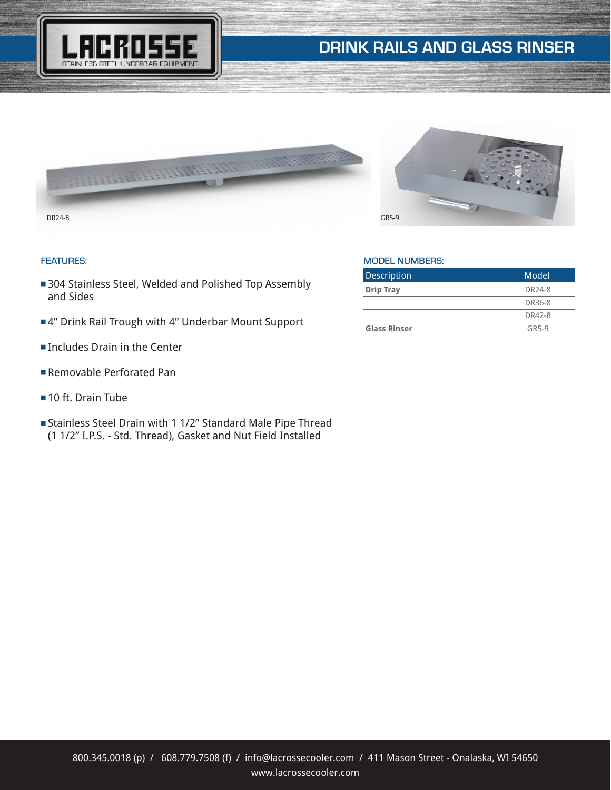

# DRINK RAILS AND GLASS RINSER



### FEATURES:

- 304 Stainless Steel, Welded and Polished Top Assembly and Sides
- ■4" Drink Rail Trough with 4" Underbar Mount Support
- Includes Drain in the Center
- **Removable Perforated Pan**
- $\blacksquare$  10 ft. Drain Tube
- <sup>n</sup> Stainless Steel Drain with 1 1/2" Standard Male Pipe Thread (1 1/2" I.P.S. - Std. Thread), Gasket and Nut Field Installed



### MODEL NUMBERS:

| Description         | Model              |
|---------------------|--------------------|
| <b>Drip Tray</b>    | DR <sub>24-8</sub> |
|                     | DR36-8             |
|                     | DR42-8             |
| <b>Glass Rinser</b> | GR5-9              |